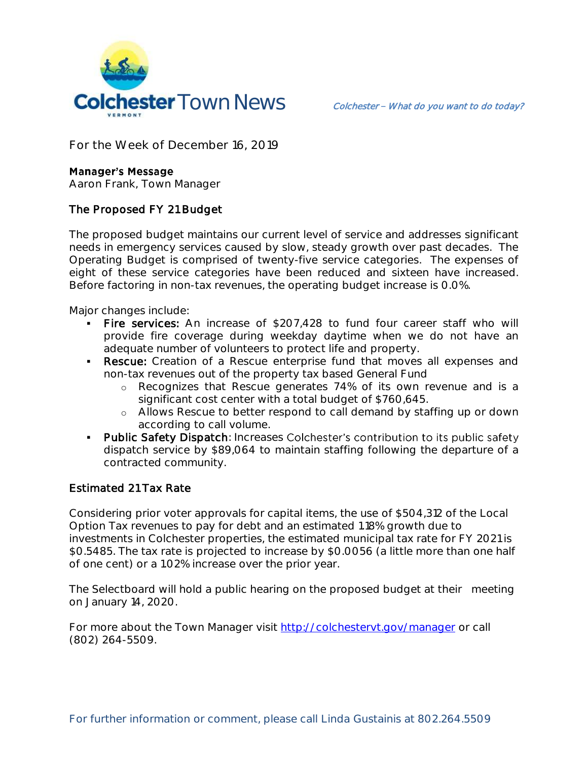

**For the Week of December 16, 2019**

## **Manager's Message**

**Aaron Frank, Town Manager**

## The Proposed FY 21 Budget

The proposed budget maintains our current level of service and addresses significant needs in emergency services caused by slow, steady growth over past decades. The Operating Budget is comprised of twenty-five service categories. The expenses of eight of these service categories have been reduced and sixteen have increased. Before factoring in non-tax revenues, the operating budget increase is 0.0%.

Major changes include:

- Fire services: An increase of \$207,428 to fund four career staff who will provide fire coverage during weekday daytime when we do not have an adequate number of volunteers to protect life and property.
- Rescue: Creation of a Rescue enterprise fund that moves all expenses and non-tax revenues out of the property tax based General Fund
	- o Recognizes that Rescue generates 74% of its own revenue and is a significant cost center with a total budget of \$760,645.
	- o Allows Rescue to better respond to call demand by staffing up or down according to call volume.
- **Public Safety Dispatch: Increases Colchester's contribution to its public safety** dispatch service by \$89,064 to maintain staffing following the departure of a contracted community.

## Estimated 21 Tax Rate

Considering prior voter approvals for capital items, the use of \$504,312 of the Local Option Tax revenues to pay for debt and an estimated 1.18% growth due to investments in Colchester properties, the estimated municipal tax rate for FY 2021 is \$0.5485. The tax rate is projected to increase by \$0.0056 (a little more than one half of one cent) or a 1.02% increase over the prior year.

The Selectboard will hold a public hearing on the proposed budget at their meeting on January 14, 2020.

For more about the Town Manager visit<http://colchestervt.gov/manager> or call (802) 264-5509.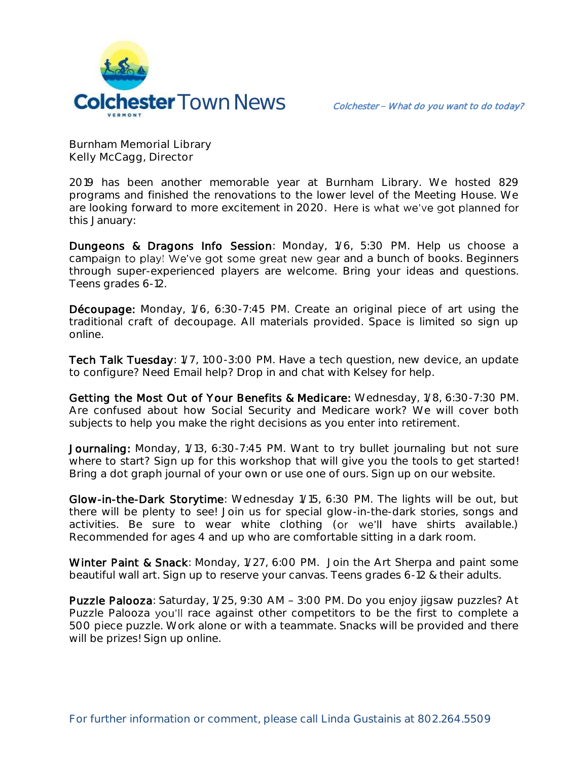

**Burnham Memorial Library Kelly McCagg, Director**

2019 has been another memorable year at Burnham Library. We hosted 829 programs and finished the renovations to the lower level of the Meeting House. We are looking forward to more excitement in 2020. Here is what we've got planned for this January:

Dungeons & Dragons Info Session: Monday, 1/6, 5:30 PM. Help us choose a campaign to play! We've got some great new gear and a bunch of books. Beginners through super-experienced players are welcome. Bring your ideas and questions. Teens grades 6-12.

Découpage: Monday, 1/6, 6:30-7:45 PM. Create an original piece of art using the traditional craft of decoupage. All materials provided. Space is limited so sign up online.

Tech Talk Tuesday: 1/7, 1:00-3:00 PM. Have a tech question, new device, an update to configure? Need Email help? Drop in and chat with Kelsey for help.

Getting the Most Out of Your Benefits & Medicare: Wednesday, 1/8, 6:30-7:30 PM. Are confused about how Social Security and Medicare work? We will cover both subjects to help you make the right decisions as you enter into retirement.

Journaling: Monday, 1/13, 6:30-7:45 PM. Want to try bullet journaling but not sure where to start? Sign up for this workshop that will give you the tools to get started! Bring a dot graph journal of your own or use one of ours. Sign up on our website.

Glow-in-the-Dark Storytime: Wednesday 1/15, 6:30 PM. The lights will be out, but there will be plenty to see! Join us for special glow-in-the-dark stories, songs and activities. Be sure to wear white clothing (or we'll have shirts available.) Recommended for ages 4 and up who are comfortable sitting in a dark room.

Winter Paint & Snack: Monday, 1/27, 6:00 PM. Join the Art Sherpa and paint some beautiful wall art. Sign up to reserve your canvas. Teens grades 6-12 & their adults.

Puzzle Palooza: Saturday, 1/25, 9:30 AM - 3:00 PM. Do you enjoy jigsaw puzzles? At Puzzle Palooza you'll race against other competitors to be the first to complete a 500 piece puzzle. Work alone or with a teammate. Snacks will be provided and there will be prizes! Sign up online.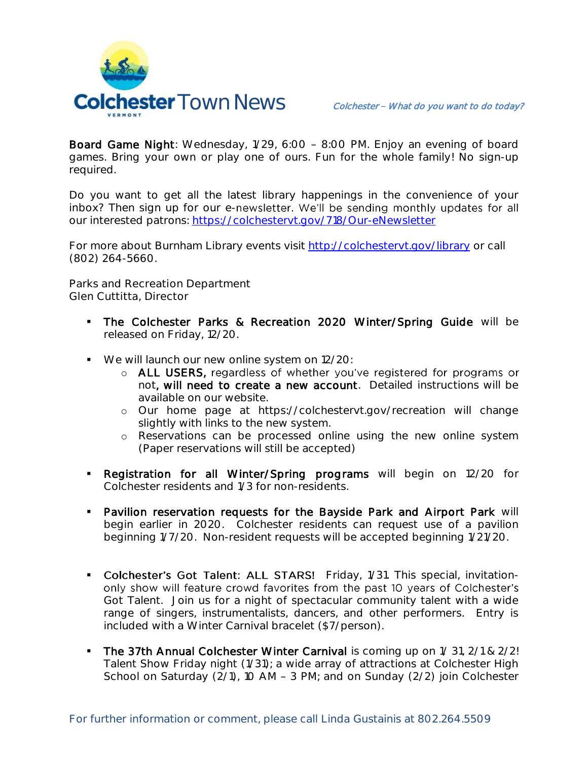

Board Game Night: Wednesday, 1/29, 6:00 - 8:00 PM. Enjoy an evening of board games. Bring your own or play one of ours. Fun for the whole family! No sign-up required.

Do you want to get all the latest library happenings in the convenience of your inbox? Then sign up for our e-newsletter. We'll be sending monthly updates for all our interested patrons: <https://colchestervt.gov/718/Our-eNewsletter>

For more about Burnham Library events visit<http://colchestervt.gov/library> or call (802) 264-5660.

**Parks and Recreation Department Glen Cuttitta, Director**

- The Colchester Parks & Recreation 2020 Winter/Spring Guide will be released on Friday, 12/20.
- We will launch our new online system on 12/20:
	- o ALL USERS, regardless of whether you've registered for programs or not, will need to create a new account. Detailed instructions will be available on our website.
	- o Our home page at https://colchestervt.gov/recreation will change slightly with links to the new system.
	- o Reservations can be processed online using the new online system (Paper reservations will still be accepted)
- **-** Registration for all Winter/Spring programs will begin on 12/20 for Colchester residents and 1/3 for non-residents.
- **Pavilion reservation requests for the Bayside Park and Airport Park will** begin earlier in 2020. Colchester residents can request use of a pavilion beginning 1/7/20. Non-resident requests will be accepted beginning 1/21/20.
- Colchester's Got Talent: ALL STARS! Friday, 1/31. This special, invitationonly show will feature crowd favorites from the past 10 years of Colchester's Got Talent. Join us for a night of spectacular community talent with a wide range of singers, instrumentalists, dancers, and other performers. Entry is included with a Winter Carnival bracelet (\$7/person).
- The 37th Annual Colchester Winter Carnival is coming up on 1/31, 2/1 & 2/2! Talent Show Friday night (1/31); a wide array of attractions at Colchester High School on Saturday ( $2/1$ ), 10 AM - 3 PM; and on Sunday ( $2/2$ ) join Colchester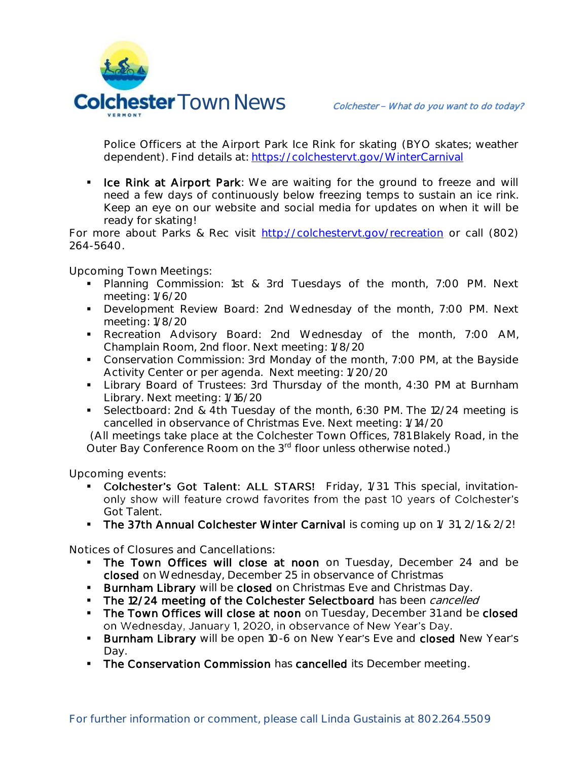

Police Officers at the Airport Park Ice Rink for skating (BYO skates; weather dependent). Find details at:<https://colchestervt.gov/WinterCarnival>

I Ice Rink at Airport Park: We are waiting for the ground to freeze and will need a few days of continuously below freezing temps to sustain an ice rink. Keep an eye on our website and social media for updates on when it will be ready for skating!

For more about Parks & Rec visit [http://colchestervt.gov/recreation](http://colchestervt.gov/Recreation/parksNRec.shtml) or call (802) 264-5640.

**Upcoming Town Meetings:** 

- **Planning Commission: 1st & 3rd Tuesdays of the month, 7:00 PM. Next** meeting: 1/6/20
- **Development Review Board: 2nd Wednesday of the month, 7:00 PM. Next** meeting: 1/8/20
- Recreation Advisory Board: 2nd Wednesday of the month, 7:00 AM, Champlain Room, 2nd floor. Next meeting: 1/8/20
- Conservation Commission: 3rd Monday of the month, 7:00 PM, at the Bayside Activity Center or per agenda. Next meeting: 1/20/20
- **Library Board of Trustees: 3rd Thursday of the month, 4:30 PM at Burnham** Library. Next meeting: 1/16/20
- Selectboard: 2nd & 4th Tuesday of the month, 6:30 PM. The 12/24 meeting is cancelled in observance of Christmas Eve. Next meeting: 1/14/20

 (All meetings take place at the Colchester Town Offices, 781 Blakely Road, in the Outer Bay Conference Room on the 3<sup>rd</sup> floor unless otherwise noted.)

**Upcoming events:** 

- Colchester's Got Talent: ALL STARS! Friday, 1/31. This special, invitationonly show will feature crowd favorites from the past 10 years of Colchester's Got Talent.
- The 37th Annual Colchester Winter Carnival is coming up on 1/31, 2/1 & 2/2!

**Notices of Closures and Cancellations:**

- The Town Offices will close at noon on Tuesday, December 24 and be closed on Wednesday, December 25 in observance of Christmas
- **Burnham Library** will be closed on Christmas Eve and Christmas Day.
- The 12/24 meeting of the Colchester Selectboard has been cancelled
- The Town Offices will close at noon on Tuesday, December 31 and be closed on Wednesday, January 1, 2020, in observance of New Year's Day.
- **Burnham Library** will be open 10-6 on New Year's Eve and closed New Year's Day.
- **The Conservation Commission** has cancelled its December meeting.